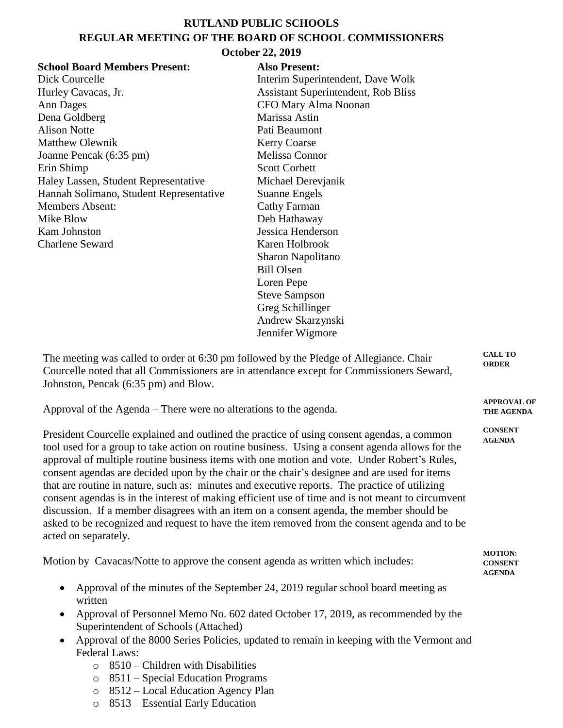## **RUTLAND PUBLIC SCHOOLS REGULAR MEETING OF THE BOARD OF SCHOOL COMMISSIONERS**

## **October 22, 2019**

| <b>School Board Members Present:</b>    | <b>Also Present:</b>                       |
|-----------------------------------------|--------------------------------------------|
| Dick Courcelle                          | Interim Superintendent, Dave Wolk          |
| Hurley Cavacas, Jr.                     | <b>Assistant Superintendent, Rob Bliss</b> |
| Ann Dages                               | CFO Mary Alma Noonan                       |
| Dena Goldberg                           | Marissa Astin                              |
| <b>Alison Notte</b>                     | Pati Beaumont                              |
| <b>Matthew Olewnik</b>                  | <b>Kerry Coarse</b>                        |
| Joanne Pencak (6:35 pm)                 | Melissa Connor                             |
| Erin Shimp                              | <b>Scott Corbett</b>                       |
| Haley Lassen, Student Representative    | Michael Derevjanik                         |
| Hannah Solimano, Student Representative | Suanne Engels                              |
| <b>Members Absent:</b>                  | <b>Cathy Farman</b>                        |
| Mike Blow                               | Deb Hathaway                               |
| Kam Johnston                            | Jessica Henderson                          |
| <b>Charlene Seward</b>                  | Karen Holbrook                             |
|                                         | Sharon Napolitano                          |
|                                         | <b>Bill Olsen</b>                          |
|                                         | Loren Pepe                                 |
|                                         | <b>Steve Sampson</b>                       |
|                                         | Greg Schillinger                           |
|                                         | Andrew Skarzynski                          |
|                                         | Jennifer Wigmore                           |
|                                         |                                            |

| The meeting was called to order at 6:30 pm followed by the Pledge of Allegiance. Chair    | <b>CALL TO</b><br><b>ORDER</b> |
|-------------------------------------------------------------------------------------------|--------------------------------|
| Courcelle noted that all Commissioners are in attendance except for Commissioners Seward, |                                |
| Johnston, Pencak (6:35 pm) and Blow.                                                      |                                |

**APPROVAL OF THE AGENDA**

**CONSENT AGENDA**

Approval of the Agenda – There were no alterations to the agenda.

President Courcelle explained and outlined the practice of using consent agendas, a common tool used for a group to take action on routine business. Using a consent agenda allows for the approval of multiple routine business items with one motion and vote. Under Robert's Rules, consent agendas are decided upon by the chair or the chair's designee and are used for items that are routine in nature, such as: minutes and executive reports. The practice of utilizing consent agendas is in the interest of making efficient use of time and is not meant to circumvent discussion. If a member disagrees with an item on a consent agenda, the member should be asked to be recognized and request to have the item removed from the consent agenda and to be acted on separately.

Motion by Cavacas/Notte to approve the consent agenda as written which includes: • Approval of the minutes of the September 24, 2019 regular school board meeting as written Approval of Personnel Memo No. 602 dated October 17, 2019, as recommended by the Superintendent of Schools (Attached) • Approval of the 8000 Series Policies, updated to remain in keeping with the Vermont and Federal Laws:  $\circ$  8510 – Children with Disabilities **MOTION: CONSENT AGENDA**

- o 8511 Special Education Programs
- o 8512 Local Education Agency Plan
- o 8513 Essential Early Education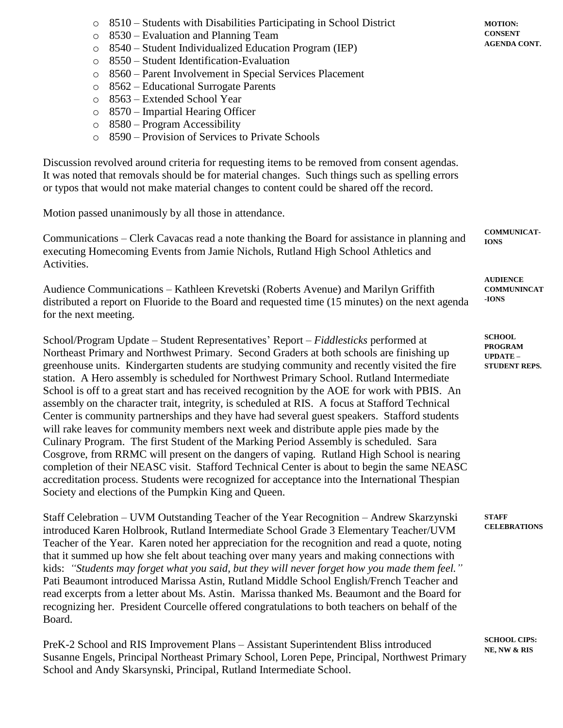- o 8510 Students with Disabilities Participating in School District
- o 8530 Evaluation and Planning Team
- o 8540 Student Individualized Education Program (IEP)
- o 8550 Student Identification-Evaluation
- o 8560 Parent Involvement in Special Services Placement
- o 8562 Educational Surrogate Parents
- o 8563 Extended School Year
- o 8570 Impartial Hearing Officer
- o 8580 Program Accessibility
- o 8590 Provision of Services to Private Schools

Discussion revolved around criteria for requesting items to be removed from consent agendas. It was noted that removals should be for material changes. Such things such as spelling errors or typos that would not make material changes to content could be shared off the record.

Motion passed unanimously by all those in attendance.

Communications – Clerk Cavacas read a note thanking the Board for assistance in planning and executing Homecoming Events from Jamie Nichols, Rutland High School Athletics and Activities. **IONS**

Audience Communications – Kathleen Krevetski (Roberts Avenue) and Marilyn Griffith distributed a report on Fluoride to the Board and requested time (15 minutes) on the next agenda for the next meeting.

School/Program Update – Student Representatives' Report – *Fiddlesticks* performed at Northeast Primary and Northwest Primary. Second Graders at both schools are finishing up greenhouse units. Kindergarten students are studying community and recently visited the fire station. A Hero assembly is scheduled for Northwest Primary School. Rutland Intermediate School is off to a great start and has received recognition by the AOE for work with PBIS. An assembly on the character trait, integrity, is scheduled at RIS. A focus at Stafford Technical Center is community partnerships and they have had several guest speakers. Stafford students will rake leaves for community members next week and distribute apple pies made by the Culinary Program. The first Student of the Marking Period Assembly is scheduled. Sara Cosgrove, from RRMC will present on the dangers of vaping. Rutland High School is nearing completion of their NEASC visit. Stafford Technical Center is about to begin the same NEASC accreditation process. Students were recognized for acceptance into the International Thespian Society and elections of the Pumpkin King and Queen.

Staff Celebration – UVM Outstanding Teacher of the Year Recognition – Andrew Skarzynski introduced Karen Holbrook, Rutland Intermediate School Grade 3 Elementary Teacher/UVM Teacher of the Year. Karen noted her appreciation for the recognition and read a quote, noting that it summed up how she felt about teaching over many years and making connections with kids: *"Students may forget what you said, but they will never forget how you made them feel."* Pati Beaumont introduced Marissa Astin, Rutland Middle School English/French Teacher and read excerpts from a letter about Ms. Astin. Marissa thanked Ms. Beaumont and the Board for recognizing her. President Courcelle offered congratulations to both teachers on behalf of the Board.

PreK-2 School and RIS Improvement Plans – Assistant Superintendent Bliss introduced Susanne Engels, Principal Northeast Primary School, Loren Pepe, Principal, Northwest Primary School and Andy Skarsynski, Principal, Rutland Intermediate School.

**COMMUNICAT-**

**AUDIENCE COMMUNINCAT -IONS**

**SCHOOL PROGRAM UPDATE – STUDENT REPS.**

**STAFF CELEBRATIONS**

**SCHOOL CIPS: NE, NW & RIS**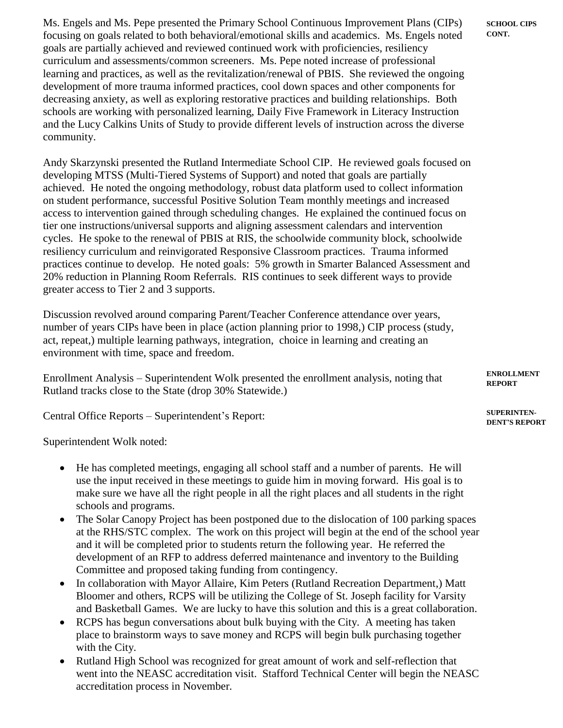Ms. Engels and Ms. Pepe presented the Primary School Continuous Improvement Plans (CIPs) focusing on goals related to both behavioral/emotional skills and academics. Ms. Engels noted goals are partially achieved and reviewed continued work with proficiencies, resiliency curriculum and assessments/common screeners. Ms. Pepe noted increase of professional learning and practices, as well as the revitalization/renewal of PBIS. She reviewed the ongoing development of more trauma informed practices, cool down spaces and other components for decreasing anxiety, as well as exploring restorative practices and building relationships. Both schools are working with personalized learning, Daily Five Framework in Literacy Instruction and the Lucy Calkins Units of Study to provide different levels of instruction across the diverse community.

Andy Skarzynski presented the Rutland Intermediate School CIP. He reviewed goals focused on developing MTSS (Multi-Tiered Systems of Support) and noted that goals are partially achieved. He noted the ongoing methodology, robust data platform used to collect information on student performance, successful Positive Solution Team monthly meetings and increased access to intervention gained through scheduling changes. He explained the continued focus on tier one instructions/universal supports and aligning assessment calendars and intervention cycles. He spoke to the renewal of PBIS at RIS, the schoolwide community block, schoolwide resiliency curriculum and reinvigorated Responsive Classroom practices. Trauma informed practices continue to develop. He noted goals: 5% growth in Smarter Balanced Assessment and 20% reduction in Planning Room Referrals. RIS continues to seek different ways to provide greater access to Tier 2 and 3 supports.

Discussion revolved around comparing Parent/Teacher Conference attendance over years, number of years CIPs have been in place (action planning prior to 1998,) CIP process (study, act, repeat,) multiple learning pathways, integration, choice in learning and creating an environment with time, space and freedom.

Enrollment Analysis – Superintendent Wolk presented the enrollment analysis, noting that Rutland tracks close to the State (drop 30% Statewide.)

Central Office Reports – Superintendent's Report:

Superintendent Wolk noted:

- He has completed meetings, engaging all school staff and a number of parents. He will use the input received in these meetings to guide him in moving forward. His goal is to make sure we have all the right people in all the right places and all students in the right schools and programs.
- The Solar Canopy Project has been postponed due to the dislocation of 100 parking spaces at the RHS/STC complex. The work on this project will begin at the end of the school year and it will be completed prior to students return the following year. He referred the development of an RFP to address deferred maintenance and inventory to the Building Committee and proposed taking funding from contingency.
- In collaboration with Mayor Allaire, Kim Peters (Rutland Recreation Department,) Matt Bloomer and others, RCPS will be utilizing the College of St. Joseph facility for Varsity and Basketball Games. We are lucky to have this solution and this is a great collaboration.
- RCPS has begun conversations about bulk buying with the City. A meeting has taken place to brainstorm ways to save money and RCPS will begin bulk purchasing together with the City.
- Rutland High School was recognized for great amount of work and self-reflection that went into the NEASC accreditation visit. Stafford Technical Center will begin the NEASC accreditation process in November.

**ENROLLMENT REPORT**

**SUPERINTEN-DENT'S REPORT**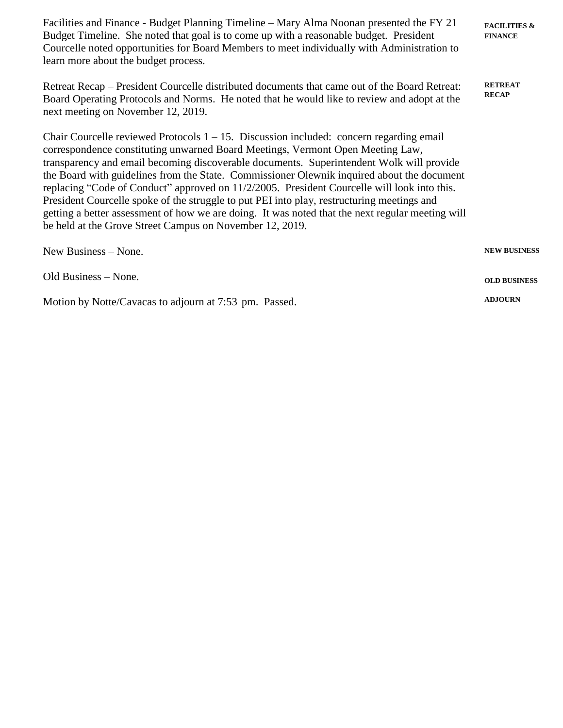Facilities and Finance - Budget Planning Timeline – Mary Alma Noonan presented the FY 21 Budget Timeline. She noted that goal is to come up with a reasonable budget. President Courcelle noted opportunities for Board Members to meet individually with Administration to learn more about the budget process. Retreat Recap – President Courcelle distributed documents that came out of the Board Retreat: Board Operating Protocols and Norms. He noted that he would like to review and adopt at the next meeting on November 12, 2019. Chair Courcelle reviewed Protocols  $1 - 15$ . Discussion included: concern regarding email correspondence constituting unwarned Board Meetings, Vermont Open Meeting Law, transparency and email becoming discoverable documents. Superintendent Wolk will provide the Board with guidelines from the State. Commissioner Olewnik inquired about the document replacing "Code of Conduct" approved on 11/2/2005. President Courcelle will look into this. President Courcelle spoke of the struggle to put PEI into play, restructuring meetings and getting a better assessment of how we are doing. It was noted that the next regular meeting will be held at the Grove Street Campus on November 12, 2019. New Business – None. Old Business – None. **FACILITIES & FINANCE RETREAT RECAP NEW BUSINESS OLD BUSINESS**

**ADJOURN**

Motion by Notte/Cavacas to adjourn at 7:53 pm. Passed.